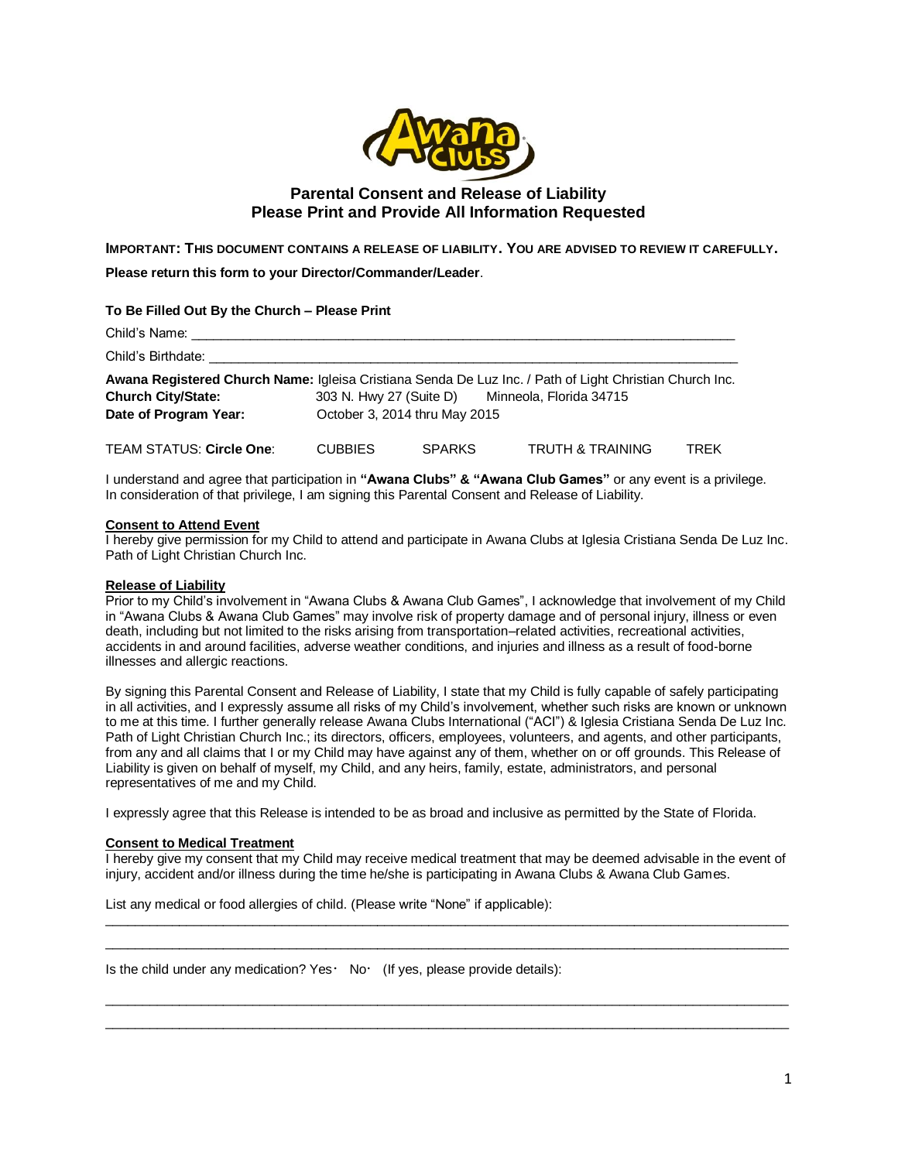

# **Parental Consent and Release of Liability Please Print and Provide All Information Requested**

**IMPORTANT: THIS DOCUMENT CONTAINS A RELEASE OF LIABILITY. YOU ARE ADVISED TO REVIEW IT CAREFULLY.**

**Please return this form to your Director/Commander/Leader**.

### **To Be Filled Out By the Church – Please Print**

| Child's Name:                                                                                                                        |                               |               |                                                 |             |  |  |  |
|--------------------------------------------------------------------------------------------------------------------------------------|-------------------------------|---------------|-------------------------------------------------|-------------|--|--|--|
| Child's Birthdate:                                                                                                                   |                               |               |                                                 |             |  |  |  |
| Awana Registered Church Name: Igleisa Cristiana Senda De Luz Inc. / Path of Light Christian Church Inc.<br><b>Church City/State:</b> |                               |               | 303 N. Hwy 27 (Suite D) Minneola, Florida 34715 |             |  |  |  |
| Date of Program Year:                                                                                                                | October 3, 2014 thru May 2015 |               |                                                 |             |  |  |  |
| <b>TEAM STATUS: Circle One:</b>                                                                                                      | <b>CUBBIES</b>                | <b>SPARKS</b> | <b>TRUTH &amp; TRAINING</b>                     | <b>TRFK</b> |  |  |  |

I understand and agree that participation in **"Awana Clubs" & "Awana Club Games"** or any event is a privilege. In consideration of that privilege, I am signing this Parental Consent and Release of Liability.

#### **Consent to Attend Event**

I hereby give permission for my Child to attend and participate in Awana Clubs at Iglesia Cristiana Senda De Luz Inc. Path of Light Christian Church Inc.

## **Release of Liability**

Prior to my Child's involvement in "Awana Clubs & Awana Club Games", I acknowledge that involvement of my Child in "Awana Clubs & Awana Club Games" may involve risk of property damage and of personal injury, illness or even death, including but not limited to the risks arising from transportation–related activities, recreational activities, accidents in and around facilities, adverse weather conditions, and injuries and illness as a result of food-borne illnesses and allergic reactions.

By signing this Parental Consent and Release of Liability, I state that my Child is fully capable of safely participating in all activities, and I expressly assume all risks of my Child's involvement, whether such risks are known or unknown to me at this time. I further generally release Awana Clubs International ("ACI") & Iglesia Cristiana Senda De Luz Inc. Path of Light Christian Church Inc.; its directors, officers, employees, volunteers, and agents, and other participants, from any and all claims that I or my Child may have against any of them, whether on or off grounds. This Release of Liability is given on behalf of myself, my Child, and any heirs, family, estate, administrators, and personal representatives of me and my Child.

I expressly agree that this Release is intended to be as broad and inclusive as permitted by the State of Florida.

#### **Consent to Medical Treatment**

I hereby give my consent that my Child may receive medical treatment that may be deemed advisable in the event of injury, accident and/or illness during the time he/she is participating in Awana Clubs & Awana Club Games.

 $\_$  ,  $\_$  ,  $\_$  ,  $\_$  ,  $\_$  ,  $\_$  ,  $\_$  ,  $\_$  ,  $\_$  ,  $\_$  ,  $\_$  ,  $\_$  ,  $\_$  ,  $\_$  ,  $\_$  ,  $\_$  ,  $\_$  ,  $\_$  ,  $\_$  ,  $\_$  ,  $\_$  ,  $\_$  ,  $\_$  ,  $\_$  ,  $\_$  ,  $\_$  ,  $\_$  ,  $\_$  ,  $\_$  ,  $\_$  ,  $\_$  ,  $\_$  ,  $\_$  ,  $\_$  ,  $\_$  ,  $\_$  ,  $\_$  ,  $\_$  ,  $\_$  ,  $\_$  ,  $\_$  ,  $\_$  ,  $\_$  ,  $\_$  ,  $\_$  ,  $\_$  ,  $\_$  ,  $\_$  ,  $\_$  ,  $\_$  ,  $\_$  ,  $\_$  ,  $\_$  ,  $\_$  ,  $\_$  ,  $\_$  ,  $\_$  ,  $\_$  ,  $\_$  ,  $\_$  ,  $\_$  ,  $\_$  ,  $\_$  ,  $\_$  ,  $\_$  ,  $\_$  ,  $\_$  ,  $\_$  ,  $\_$  ,  $\_$  ,  $\_$  ,  $\_$  ,  $\_$  ,  $\_$  ,

 $\_$  ,  $\_$  ,  $\_$  ,  $\_$  ,  $\_$  ,  $\_$  ,  $\_$  ,  $\_$  ,  $\_$  ,  $\_$  ,  $\_$  ,  $\_$  ,  $\_$  ,  $\_$  ,  $\_$  ,  $\_$  ,  $\_$  ,  $\_$  ,  $\_$  ,  $\_$  ,  $\_$  ,  $\_$  ,  $\_$  ,  $\_$  ,  $\_$  ,  $\_$  ,  $\_$  ,  $\_$  ,  $\_$  ,  $\_$  ,  $\_$  ,  $\_$  ,  $\_$  ,  $\_$  ,  $\_$  ,  $\_$  ,  $\_$  ,  $\overline{\phantom{a}}$  , and the contribution of the contribution of the contribution of the contribution of the contribution of the contribution of the contribution of the contribution of the contribution of the contribution of the

List any medical or food allergies of child. (Please write "None" if applicable):

Is the child under any medication? Yes  $\cdot$  No  $\cdot$  (If yes, please provide details):